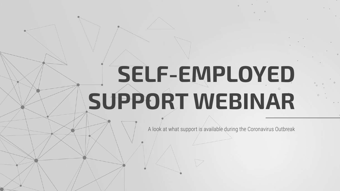# **SELF-EMPLOYED SUPPORT WEBINAR**

A look at what support is available during the Coronavirus Outbreak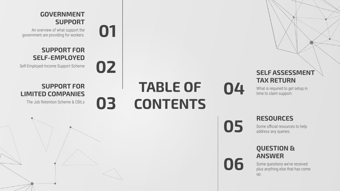#### **GOVERNMENT SUPPORT**

**01**

**03**

**02**

An overview of what support the government are providing for workers.

#### **SUPPORT FOR SELF-EMPLOYED**

Self-Employed Income Support Scheme

#### **SUPPORT FOR LIMITED COMPANIES**

The Job Retention Scheme & CBILs

## **TABLE OF CONTENTS**

**SELF ASSESSMENT TAX RETURN**

What is required to get setup in time to claim support.

**05**

**04**

**06**

#### **RESOURCES**

Some official resources to help address any queries.

#### **QUESTION & ANSWER**

Some questions we've received plus anything else that has come up.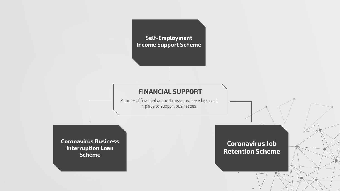

#### **FINANCIAL SUPPORT**

A range of financial support measures have been put in place to support businesses:

**Coronavirus Business Interruption Loan Scheme**

**Coronavirus Job Retention Scheme**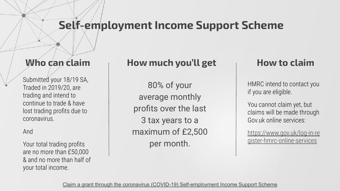## **Self-employment Income Support Scheme**

#### **Who can claim**

Submitted your 18/19 SA, Traded in 2019/20, are trading and intend to continue to trade & have lost trading profits due to coronavirus.

#### And

Your total trading profits are no more than £50,000 & and no more than half of your total income.

#### **How much you'll get**

80% of your average monthly profits over the last 3 tax years to a maximum of £2,500 per month.

#### **How to claim**

HMRC intend to contact you if you are eligible.

You cannot claim yet, but claims will be made through Gov.uk online services:

[https://www.gov.uk/log-in-re](https://www.gov.uk/log-in-register-hmrc-online-services) [gister-hmrc-online-services](https://www.gov.uk/log-in-register-hmrc-online-services)

[Claim a grant through the coronavirus \(COVID-19\) Self-employment Income Support Scheme](https://www.gov.uk/guidance/claim-a-grant-through-the-coronavirus-covid-19-self-employment-income-support-scheme)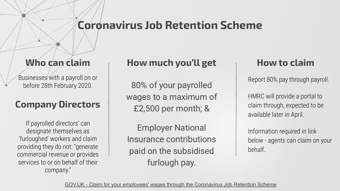### **Coronavirus Job Retention Scheme**

#### **Who can claim**

Businesses with a payroll on or before 28th February 2020.

### **Company Directors**

If payrolled directors' can designate themselves as 'furloughed' workers and claim providing they do not: "generate commercial revenue or provides services to or on behalf of their company."

#### **How much you'll get**

80% of your payrolled wages to a maximum of £2,500 per month; &

Employer National Insurance contributions paid on the subsidised furlough pay.

#### **How to claim**

Report 80% pay through payroll.

HMRC will provide a portal to claim through, expected to be available later in April.

Information required in link below - agents can claim on your behalf.

[GOV.UK - Claim for your employees' wages through the Coronavirus Job Retention Scheme](https://www.gov.uk/guidance/claim-for-wage-costs-through-the-coronavirus-job-retention-scheme)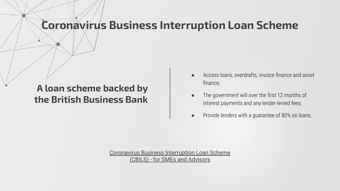## **Coronavirus Business Interruption Loan Scheme**

#### **A loan scheme backed by the British Business Bank**

- Access loans, overdrafts, invoice finance and asset finance;
- The government will over the first 12 months of interest payments and any lender-levied fees;
- Provide lenders with a guarantee of 80% on loans.

[Coronavirus Business Interruption Loan Scheme](https://www.british-business-bank.co.uk/ourpartners/coronavirus-business-interruption-loan-scheme-cbils-2/for-businesses-and-advisors/) [\(CBILS\) - for SMEs and Advisors](https://www.british-business-bank.co.uk/ourpartners/coronavirus-business-interruption-loan-scheme-cbils-2/for-businesses-and-advisors/)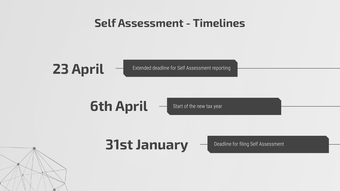## **Self Assessment - Timelines**

## **23 April**

Extended deadline for Self Assessment reporting

## **6th April**

Start of the new tax year

## **31st January**

Deadline for filing Self Assessment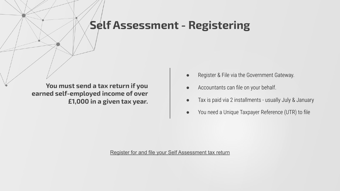### **Self Assessment - Registering**

**You must send a tax return if you earned self-employed income of over £1,000 in a given tax year.**

- Register & File via the Government Gateway.
- Accountants can file on your behalf.
- Tax is paid via 2 installments usually July & January
- You need a Unique Taxpayer Reference (UTR) to file

[Register for and file your Self Assessment tax return](https://www.gov.uk/log-in-file-self-assessment-tax-return)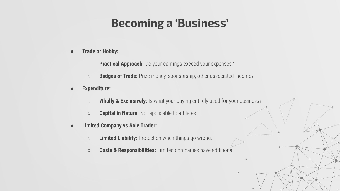## **Becoming a 'Business'**

- **● Trade or Hobby:**
	- **○ Practical Approach:** Do your earnings exceed your expenses?
	- **○ Badges of Trade:** Prize money, sponsorship, other associated income?
- **● Expenditure:**
	- **○ Wholly & Exclusively:** Is what your buying entirely used for your business?
	- **○ Capital in Nature:** Not applicable to athletes.
- **● Limited Company vs Sole Trader:**
	- **○ Limited Liability:** Protection when things go wrong.
	- **○ Costs & Responsibilities:** Limited companies have additional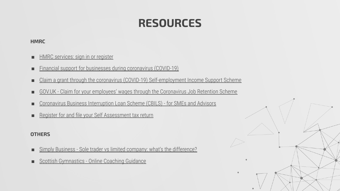## **RESOURCES**

#### **HMRC**

- [HMRC services: sign in or register](https://www.gov.uk/log-in-register-hmrc-online-services)
- [Financial support for businesses during coronavirus \(COVID-19\)](https://www.gov.uk/government/collections/financial-support-for-businesses-during-coronavirus-covid-19)
- [Claim a grant through the coronavirus \(COVID-19\) Self-employment Income Support Scheme](https://www.gov.uk/guidance/claim-a-grant-through-the-coronavirus-covid-19-self-employment-income-support-scheme)
- [GOV.UK Claim for your employees' wages through the Coronavirus Job Retention Scheme](https://www.gov.uk/guidance/claim-for-wage-costs-through-the-coronavirus-job-retention-scheme)
- [Coronavirus Business Interruption Loan Scheme \(CBILS\) for SMEs and Advisors](https://www.british-business-bank.co.uk/ourpartners/coronavirus-business-interruption-loan-scheme-cbils-2/for-businesses-and-advisors/)
- [Register for and file your Self Assessment tax return](https://www.gov.uk/log-in-file-self-assessment-tax-return)

#### **OTHERS**

- [Simply Business Sole trader vs limited company: what's the difference?](https://www.simplybusiness.co.uk/knowledge/articles/2016/04/difference-between-a-sole-trader-and-a-limited-company)
- [Scottish Gymnastics Online Coaching Guidance](https://www.scottishgymnastics.org/news/club-online-coaching-guidance)

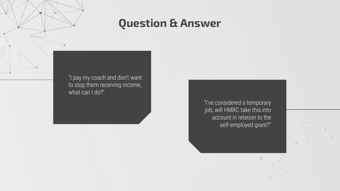## **Question & Answer**

"I pay my coach and don't want to stop them receiving income, what can I do?"

> "I've considered a temporary job, will HMRC take this into account in relation to the self-employed grant?"

> > $\circ$

 $\circ$ 

 $\circ$ 

 $\mathcal{L}^{\text{max}}_{\text{max}}$  .

 $\qquad \qquad \circ$  . <br>  $\qquad \qquad \circ$